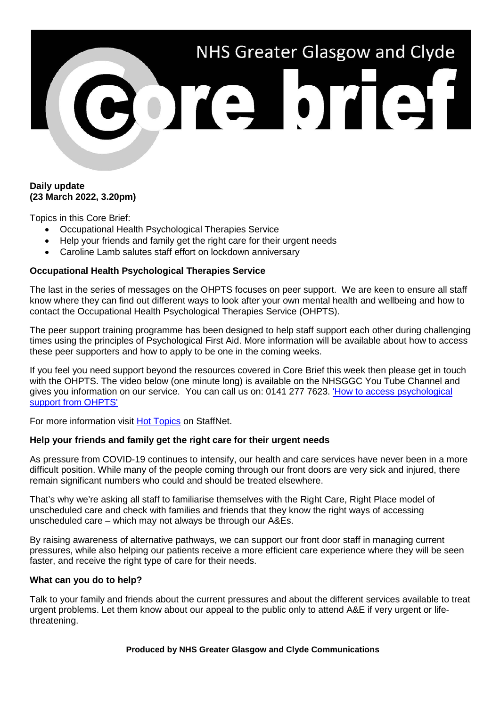# NHS Greater Glasgow and Clyde **BOTE OTIET**

# **Daily update (23 March 2022, 3.20pm)**

Topics in this Core Brief:

- Occupational Health Psychological Therapies Service
- Help your friends and family get the right care for their urgent needs
- Caroline Lamb salutes staff effort on lockdown anniversary

# **Occupational Health Psychological Therapies Service**

The last in the series of messages on the OHPTS focuses on peer support. We are keen to ensure all staff know where they can find out different ways to look after your own mental health and wellbeing and how to contact the Occupational Health Psychological Therapies Service (OHPTS).

The peer support training programme has been designed to help staff support each other during challenging times using the principles of Psychological First Aid. More information will be available about how to access these peer supporters and how to apply to be one in the coming weeks.

If you feel you need support beyond the resources covered in Core Brief this week then please get in touch with the OHPTS. The video below (one minute long) is available on the NHSGGC You Tube Channel and gives you information on our service. You can call us on: 0141 277 7623. ['How to access psychological](https://www.youtube.com/watch?v=SP-AiY3K4xg)  [support from OHPTS'](https://www.youtube.com/watch?v=SP-AiY3K4xg)

For more information visit [Hot Topics](http://www.staffnet.ggc.scot.nhs.uk/Corporate%20Services/Communications/Hot%20Topics/Pages/comms_We%E2%80%99reexhausted!_mb210322.aspx) on StaffNet.

### **Help your friends and family get the right care for their urgent needs**

As pressure from COVID-19 continues to intensify, our health and care services have never been in a more difficult position. While many of the people coming through our front doors are very sick and injured, there remain significant numbers who could and should be treated elsewhere.

That's why we're asking all staff to familiarise themselves with the Right Care, Right Place model of unscheduled care and check with families and friends that they know the right ways of accessing unscheduled care – which may not always be through our A&Es.

By raising awareness of alternative pathways, we can support our front door staff in managing current pressures, while also helping our patients receive a more efficient care experience where they will be seen faster, and receive the right type of care for their needs.

### **What can you do to help?**

Talk to your family and friends about the current pressures and about the different services available to treat urgent problems. Let them know about our appeal to the public only to attend A&E if very urgent or lifethreatening.

**Produced by NHS Greater Glasgow and Clyde Communications**